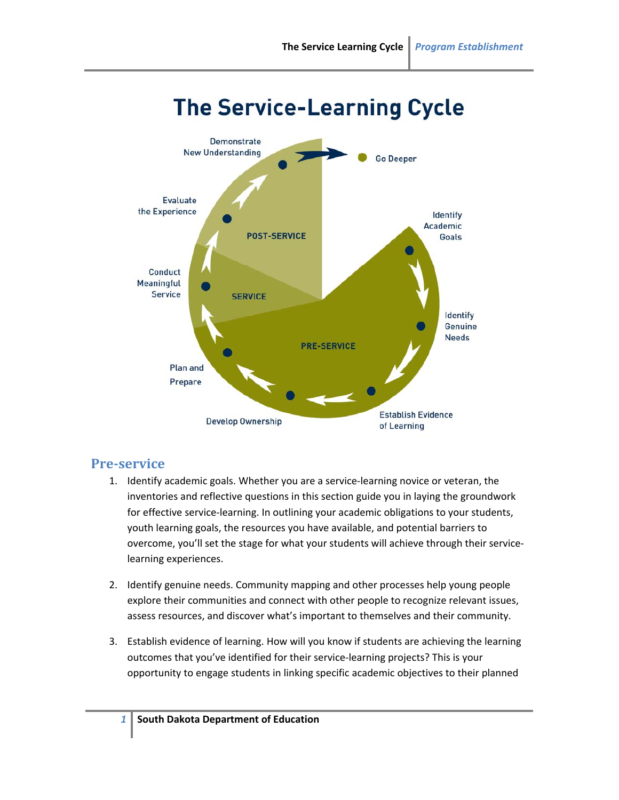

## **The Service-Learning Cycle**

## **Pre‐service**

- 1. Identify academic goals. Whether you are a service‐learning novice or veteran, the inventories and reflective questions in this section guide you in laying the groundwork for effective service-learning. In outlining your academic obligations to your students, youth learning goals, the resources you have available, and potential barriers to overcome, you'll set the stage for what your students will achieve through their service‐ learning experiences.
- 2. Identify genuine needs. Community mapping and other processes help young people explore their communities and connect with other people to recognize relevant issues, assess resources, and discover what's important to themselves and their community.
- 3. Establish evidence of learning. How will you know if students are achieving the learning outcomes that you've identified for their service‐learning projects? This is your opportunity to engage students in linking specific academic objectives to their planned